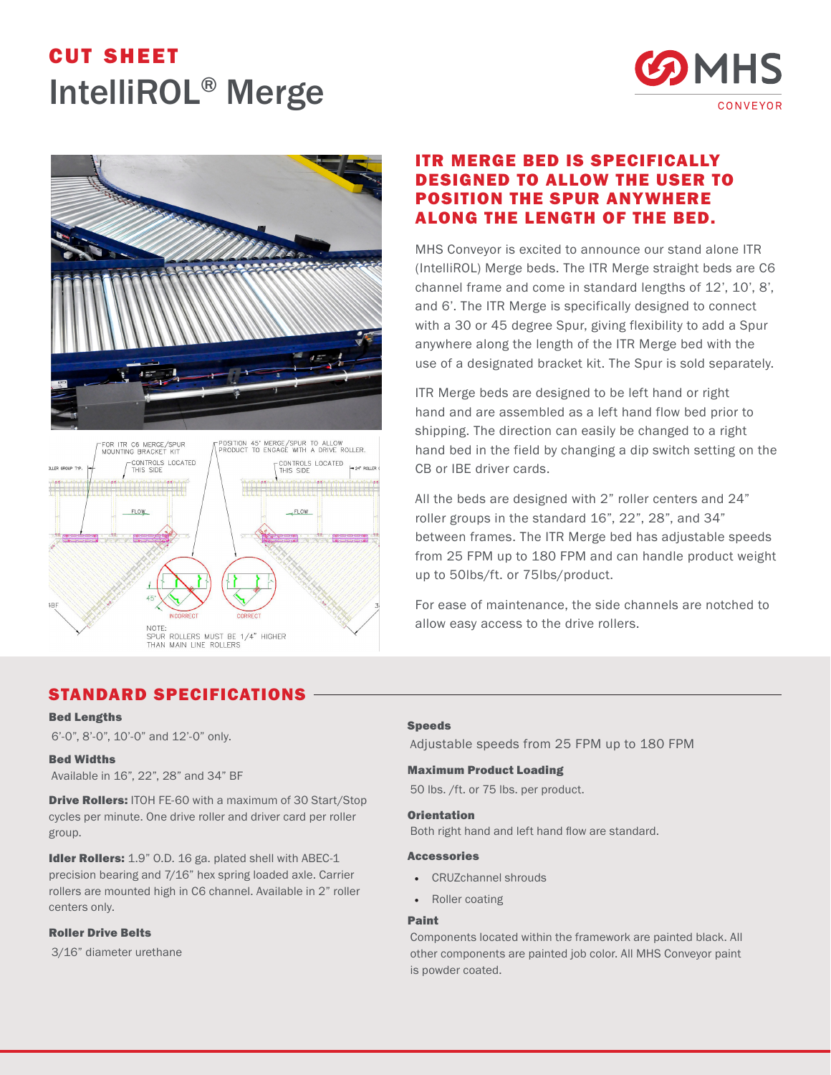# cut sheet IntelliROL® Merge







## ITR MERGE BED IS SPECIFICALLY DESIGNED TO ALLOW THE USER TO POSITION THE SPUR ANYWHERE ALONG THE LENGTH OF THE BED.

MHS Conveyor is excited to announce our stand alone ITR (IntelliROL) Merge beds. The ITR Merge straight beds are C6 channel frame and come in standard lengths of 12', 10', 8', and 6'. The ITR Merge is specifically designed to connect with a 30 or 45 degree Spur, giving flexibility to add a Spur anywhere along the length of the ITR Merge bed with the use of a designated bracket kit. The Spur is sold separately.

ITR Merge beds are designed to be left hand or right hand and are assembled as a left hand flow bed prior to shipping. The direction can easily be changed to a right hand bed in the field by changing a dip switch setting on the CB or IBE driver cards.

All the beds are designed with 2" roller centers and 24" roller groups in the standard 16", 22", 28", and 34" between frames. The ITR Merge bed has adjustable speeds from 25 FPM up to 180 FPM and can handle product weight up to 50lbs/ft. or 75lbs/product.

For ease of maintenance, the side channels are notched to allow easy access to the drive rollers.

### STANDARD SPECIFICATIONS

#### Bed Lengths

6'-0", 8'-0", 10'-0" and 12'-0" only.

#### Bed Widths

Available in 16", 22", 28" and 34" BF

**Drive Rollers:** ITOH FE-60 with a maximum of 30 Start/Stop cycles per minute. One drive roller and driver card per roller group.

Idler Rollers: 1.9" O.D. 16 ga. plated shell with ABEC-1 precision bearing and 7/16" hex spring loaded axle. Carrier rollers are mounted high in C6 channel. Available in 2" roller centers only.

#### Roller Drive Belts

3/16" diameter urethane

#### Speeds

Adjustable speeds from 25 FPM up to 180 FPM

#### Maximum Product Loading

50 lbs. /ft. or 75 lbs. per product.

#### **Orientation**

Both right hand and left hand flow are standard.

#### Accessories

- CRUZchannel shrouds
- Roller coating

#### Paint

Components located within the framework are painted black. All other components are painted job color. All MHS Conveyor paint is powder coated.